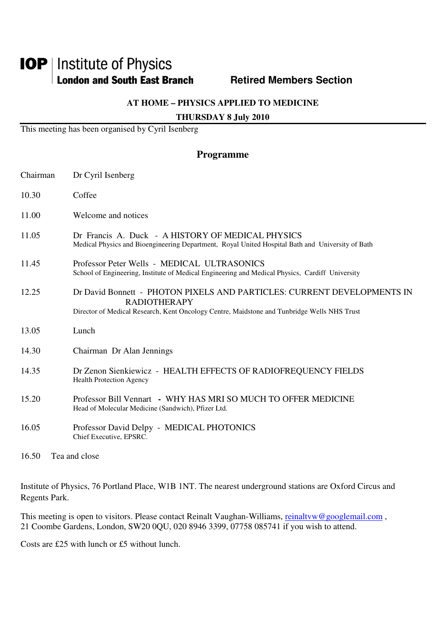# **IOP** | Institute of Physics **London and South East Branch Members Section Retired Members Section**

## **AT HOME – PHYSICS APPLIED TO MEDICINE**

### **THURSDAY 8 July 2010**

This meeting has been organised by Cyril Isenberg

# **Programme**

| Chairman | Dr Cyril Isenberg                                                                                                                                                                             |
|----------|-----------------------------------------------------------------------------------------------------------------------------------------------------------------------------------------------|
| 10.30    | Coffee                                                                                                                                                                                        |
| 11.00    | Welcome and notices                                                                                                                                                                           |
| 11.05    | Dr Francis A. Duck - A HISTORY OF MEDICAL PHYSICS<br>Medical Physics and Bioengineering Department, Royal United Hospital Bath and University of Bath                                         |
| 11.45    | Professor Peter Wells - MEDICAL ULTRASONICS<br>School of Engineering, Institute of Medical Engineering and Medical Physics, Cardiff University                                                |
| 12.25    | Dr David Bonnett - PHOTON PIXELS AND PARTICLES: CURRENT DEVELOPMENTS IN<br><b>RADIOTHERAPY</b><br>Director of Medical Research, Kent Oncology Centre, Maidstone and Tunbridge Wells NHS Trust |
| 13.05    | Lunch                                                                                                                                                                                         |
| 14.30    | Chairman Dr Alan Jennings                                                                                                                                                                     |
| 14.35    | Dr Zenon Sienkiewicz - HEALTH EFFECTS OF RADIOFREQUENCY FIELDS<br><b>Health Protection Agency</b>                                                                                             |
| 15.20    | Professor Bill Vennart - WHY HAS MRI SO MUCH TO OFFER MEDICINE<br>Head of Molecular Medicine (Sandwich), Pfizer Ltd.                                                                          |
| 16.05    | Professor David Delpy - MEDICAL PHOTONICS<br>Chief Executive, EPSRC.                                                                                                                          |
| 16.50    | Tea and close                                                                                                                                                                                 |

Institute of Physics, 76 Portland Place, W1B 1NT. The nearest underground stations are Oxford Circus and Regents Park.

This meeting is open to visitors. Please contact Reinalt Vaughan-Williams, reinaltyw@googlemail.com, 21 Coombe Gardens, London, SW20 0QU, 020 8946 3399, 07758 085741 if you wish to attend.

Costs are £25 with lunch or £5 without lunch.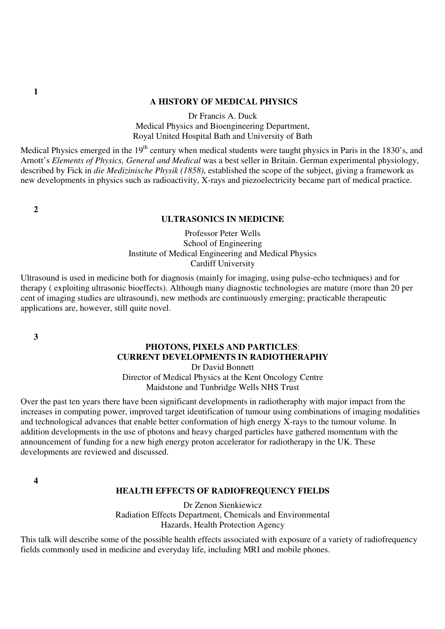#### **A HISTORY OF MEDICAL PHYSICS**

Dr Francis A. Duck Medical Physics and Bioengineering Department, Royal United Hospital Bath and University of Bath

Medical Physics emerged in the 19<sup>th</sup> century when medical students were taught physics in Paris in the 1830's, and Arnott's *Elements of Physics, General and Medical* was a best seller in Britain. German experimental physiology, described by Fick in *die Medizinische Physik (1858)*, established the scope of the subject, giving a framework as new developments in physics such as radioactivity, X-rays and piezoelectricity became part of medical practice.

 **2** 

#### **ULTRASONICS IN MEDICINE**

Professor Peter Wells School of Engineering Institute of Medical Engineering and Medical Physics Cardiff University

Ultrasound is used in medicine both for diagnosis (mainly for imaging, using pulse-echo techniques) and for therapy ( exploiting ultrasonic bioeffects). Although many diagnostic technologies are mature (more than 20 per cent of imaging studies are ultrasound), new methods are continuously emerging; practicable therapeutic applications are, however, still quite novel.

 **3** 

# **PHOTONS, PIXELS AND PARTICLES**: **CURRENT DEVELOPMENTS IN RADIOTHERAPHY**

Dr David Bonnett Director of Medical Physics at the Kent Oncology Centre Maidstone and Tunbridge Wells NHS Trust

Over the past ten years there have been significant developments in radiotheraphy with major impact from the increases in computing power, improved target identification of tumour using combinations of imaging modalities and technological advances that enable better conformation of high energy X-rays to the tumour volume. In addition developments in the use of photons and heavy charged particles have gathered momentum with the announcement of funding for a new high energy proton accelerator for radiotherapy in the UK. These developments are reviewed and discussed.

**4** 

#### **HEALTH EFFECTS OF RADIOFREQUENCY FIELDS**

Dr Zenon Sienkiewicz Radiation Effects Department, Chemicals and Environmental Hazards, Health Protection Agency

This talk will describe some of the possible health effects associated with exposure of a variety of radiofrequency fields commonly used in medicine and everyday life, including MRI and mobile phones.